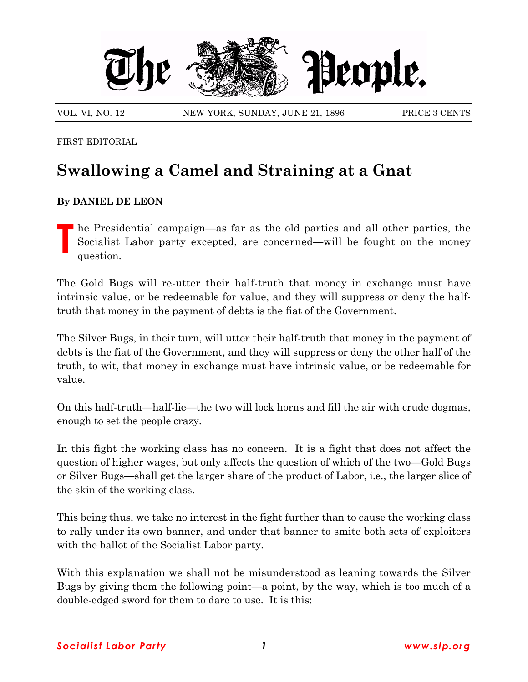

VOL. VI, NO. 12 NEW YORK, SUNDAY, JUNE 21, 1896 PRICE 3 CENTS

FIRST EDITORIAL

## **Swallowing a Camel and Straining at a Gnat**

## **By DANIEL DE LEON**

**T** he Presidential campaign—as far as the old parties and all other parties, the Socialist Labor party excepted, are concerned—will be fought on the money question.

The Gold Bugs will re-utter their half-truth that money in exchange must have intrinsic value, or be redeemable for value, and they will suppress or deny the halftruth that money in the payment of debts is the fiat of the Government.

The Silver Bugs, in their turn, will utter their half-truth that money in the payment of debts is the fiat of the Government, and they will suppress or deny the other half of the truth, to wit, that money in exchange must have intrinsic value, or be redeemable for value.

On this half-truth—half-lie—the two will lock horns and fill the air with crude dogmas, enough to set the people crazy.

In this fight the working class has no concern. It is a fight that does not affect the question of higher wages, but only affects the question of which of the two—Gold Bugs or Silver Bugs—shall get the larger share of the product of Labor, i.e., the larger slice of the skin of the working class.

This being thus, we take no interest in the fight further than to cause the working class to rally under its own banner, and under that banner to smite both sets of exploiters with the ballot of the Socialist Labor party.

With this explanation we shall not be misunderstood as leaning towards the Silver Bugs by giving them the following point—a point, by the way, which is too much of a double-edged sword for them to dare to use. It is this: